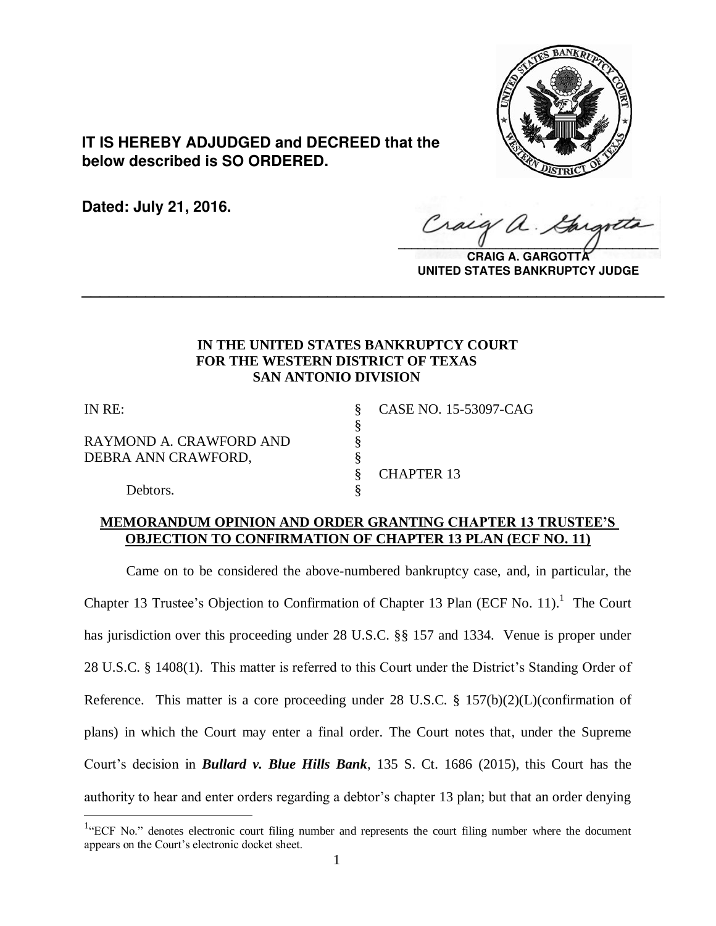

**IT IS HEREBY ADJUDGED and DECREED that the below described is SO ORDERED.**

**Dated: July 21, 2016.**

Craig  $\sqrt{2}$ 

**CRAIG A. GARGOTTA UNITED STATES BANKRUPTCY JUDGE**

# **IN THE UNITED STATES BANKRUPTCY COURT FOR THE WESTERN DISTRICT OF TEXAS SAN ANTONIO DIVISION**

**\_\_\_\_\_\_\_\_\_\_\_\_\_\_\_\_\_\_\_\_\_\_\_\_\_\_\_\_\_\_\_\_\_\_\_\_\_\_\_\_\_\_\_\_\_\_\_\_\_\_\_\_\_\_\_\_\_\_\_\_\_\_\_\_**

§

 $\overline{a}$ 

RAYMOND A. CRAWFORD AND §<br>DEBRA ANN CRAWFORD, § DEBRA ANN CRAWFORD,

IN RE: § CASE NO. 15-53097-CAG

§ CHAPTER 13

Debtors.

# **MEMORANDUM OPINION AND ORDER GRANTING CHAPTER 13 TRUSTEE'S OBJECTION TO CONFIRMATION OF CHAPTER 13 PLAN (ECF NO. 11)**

 Came on to be considered the above-numbered bankruptcy case, and, in particular, the Chapter 13 Trustee's Objection to Confirmation of Chapter 13 Plan (ECF No. 11).<sup>1</sup> The Court has jurisdiction over this proceeding under 28 U.S.C. §§ 157 and 1334. Venue is proper under 28 U.S.C. § 1408(1). This matter is referred to this Court under the District's Standing Order of Reference. This matter is a core proceeding under 28 U.S.C. § 157(b)(2)(L)(confirmation of plans) in which the Court may enter a final order. The Court notes that, under the Supreme Court's decision in *Bullard v. Blue Hills Bank*, 135 S. Ct. 1686 (2015), this Court has the authority to hear and enter orders regarding a debtor's chapter 13 plan; but that an order denying

 $1$ <sup>4</sup> ECF No." denotes electronic court filing number and represents the court filing number where the document appears on the Court's electronic docket sheet.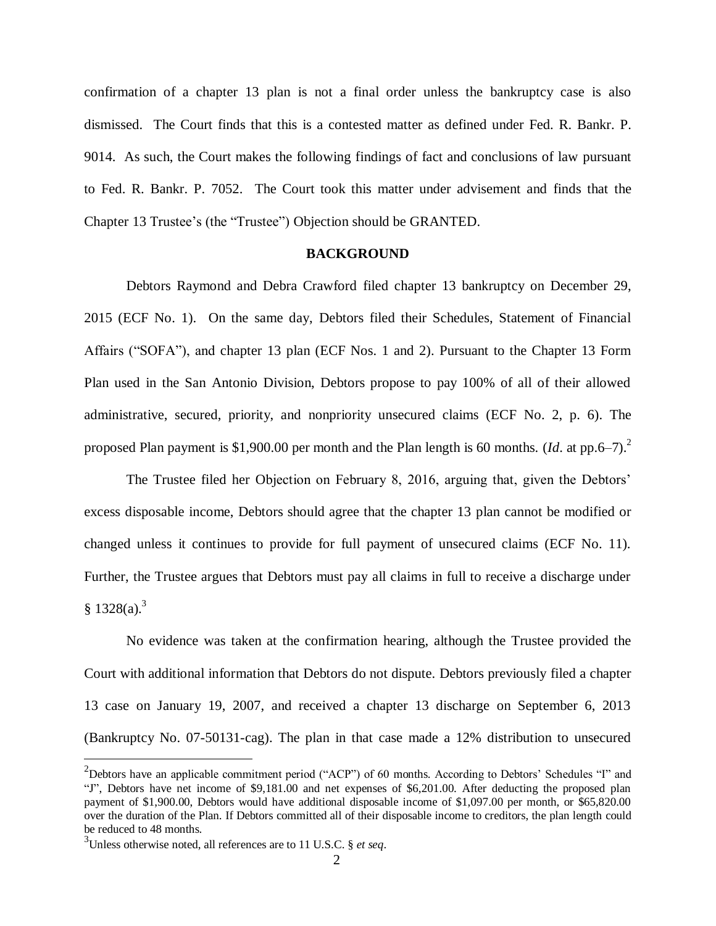confirmation of a chapter 13 plan is not a final order unless the bankruptcy case is also dismissed. The Court finds that this is a contested matter as defined under Fed. R. Bankr. P. 9014. As such, the Court makes the following findings of fact and conclusions of law pursuant to Fed. R. Bankr. P. 7052. The Court took this matter under advisement and finds that the Chapter 13 Trustee's (the "Trustee") Objection should be GRANTED.

### **BACKGROUND**

Debtors Raymond and Debra Crawford filed chapter 13 bankruptcy on December 29, 2015 (ECF No. 1). On the same day, Debtors filed their Schedules, Statement of Financial Affairs ("SOFA"), and chapter 13 plan (ECF Nos. 1 and 2). Pursuant to the Chapter 13 Form Plan used in the San Antonio Division, Debtors propose to pay 100% of all of their allowed administrative, secured, priority, and nonpriority unsecured claims (ECF No. 2, p. 6). The proposed Plan payment is \$1,900.00 per month and the Plan length is 60 months. (*Id*. at pp.6–7). 2

The Trustee filed her Objection on February 8, 2016, arguing that, given the Debtors' excess disposable income, Debtors should agree that the chapter 13 plan cannot be modified or changed unless it continues to provide for full payment of unsecured claims (ECF No. 11). Further, the Trustee argues that Debtors must pay all claims in full to receive a discharge under  $$1328(a).$ <sup>3</sup>

No evidence was taken at the confirmation hearing, although the Trustee provided the Court with additional information that Debtors do not dispute. Debtors previously filed a chapter 13 case on January 19, 2007, and received a chapter 13 discharge on September 6, 2013 (Bankruptcy No. 07-50131-cag). The plan in that case made a 12% distribution to unsecured

 $2$ Debtors have an applicable commitment period ("ACP") of 60 months. According to Debtors' Schedules "I" and "J", Debtors have net income of \$9,181.00 and net expenses of \$6,201.00. After deducting the proposed plan payment of \$1,900.00, Debtors would have additional disposable income of \$1,097.00 per month, or \$65,820.00 over the duration of the Plan. If Debtors committed all of their disposable income to creditors, the plan length could be reduced to 48 months.

<sup>3</sup> Unless otherwise noted, all references are to 11 U.S.C. § *et seq*.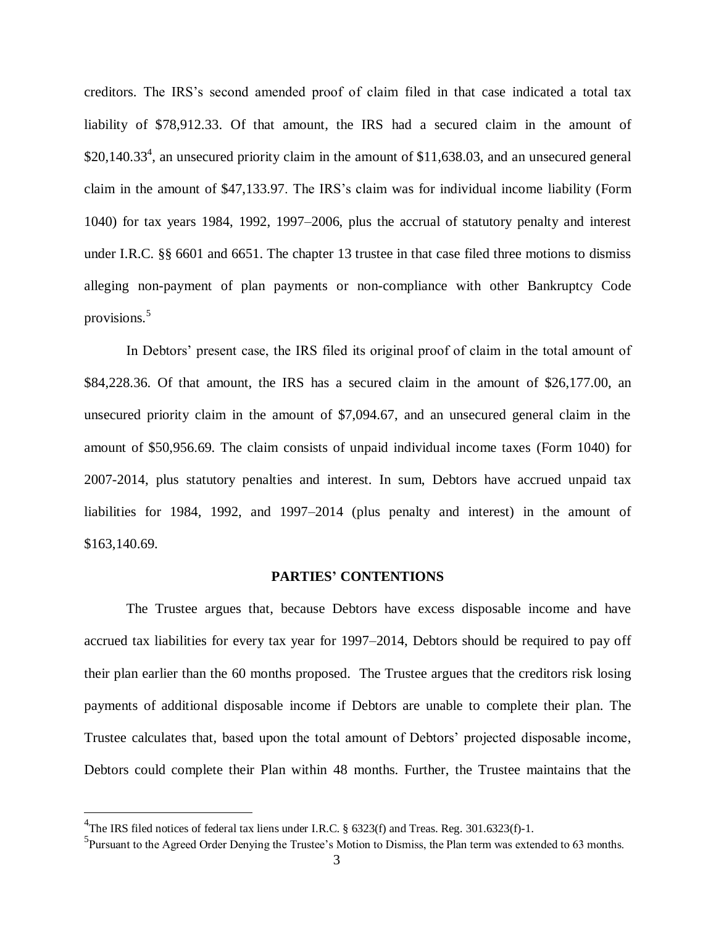creditors. The IRS's second amended proof of claim filed in that case indicated a total tax liability of \$78,912.33. Of that amount, the IRS had a secured claim in the amount of  $$20,140.33<sup>4</sup>$ , an unsecured priority claim in the amount of \$11,638.03, and an unsecured general claim in the amount of \$47,133.97. The IRS's claim was for individual income liability (Form 1040) for tax years 1984, 1992, 1997–2006, plus the accrual of statutory penalty and interest under I.R.C. §§ 6601 and 6651. The chapter 13 trustee in that case filed three motions to dismiss alleging non-payment of plan payments or non-compliance with other Bankruptcy Code provisions.<sup>5</sup>

In Debtors' present case, the IRS filed its original proof of claim in the total amount of \$84,228.36. Of that amount, the IRS has a secured claim in the amount of \$26,177.00, an unsecured priority claim in the amount of \$7,094.67, and an unsecured general claim in the amount of \$50,956.69. The claim consists of unpaid individual income taxes (Form 1040) for 2007-2014, plus statutory penalties and interest. In sum, Debtors have accrued unpaid tax liabilities for 1984, 1992, and 1997–2014 (plus penalty and interest) in the amount of \$163,140.69.

#### **PARTIES' CONTENTIONS**

The Trustee argues that, because Debtors have excess disposable income and have accrued tax liabilities for every tax year for 1997–2014, Debtors should be required to pay off their plan earlier than the 60 months proposed. The Trustee argues that the creditors risk losing payments of additional disposable income if Debtors are unable to complete their plan. The Trustee calculates that, based upon the total amount of Debtors' projected disposable income, Debtors could complete their Plan within 48 months. Further, the Trustee maintains that the

<sup>&</sup>lt;sup>4</sup>The IRS filed notices of federal tax liens under I.R.C. § 6323(f) and Treas. Reg. 301.6323(f)-1.

<sup>&</sup>lt;sup>5</sup>Pursuant to the Agreed Order Denying the Trustee's Motion to Dismiss, the Plan term was extended to 63 months.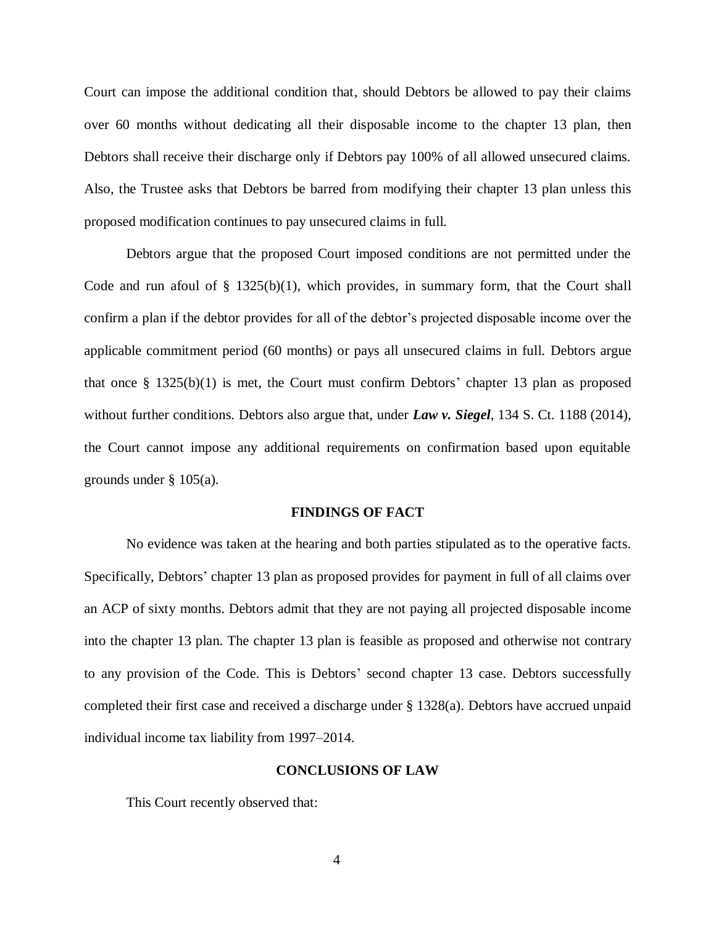Court can impose the additional condition that, should Debtors be allowed to pay their claims over 60 months without dedicating all their disposable income to the chapter 13 plan, then Debtors shall receive their discharge only if Debtors pay 100% of all allowed unsecured claims. Also, the Trustee asks that Debtors be barred from modifying their chapter 13 plan unless this proposed modification continues to pay unsecured claims in full.

Debtors argue that the proposed Court imposed conditions are not permitted under the Code and run afoul of  $\S$  1325(b)(1), which provides, in summary form, that the Court shall confirm a plan if the debtor provides for all of the debtor's projected disposable income over the applicable commitment period (60 months) or pays all unsecured claims in full. Debtors argue that once § 1325(b)(1) is met, the Court must confirm Debtors' chapter 13 plan as proposed without further conditions. Debtors also argue that, under *Law v. Siegel*, 134 S. Ct. 1188 (2014), the Court cannot impose any additional requirements on confirmation based upon equitable grounds under § 105(a).

#### **FINDINGS OF FACT**

No evidence was taken at the hearing and both parties stipulated as to the operative facts. Specifically, Debtors' chapter 13 plan as proposed provides for payment in full of all claims over an ACP of sixty months. Debtors admit that they are not paying all projected disposable income into the chapter 13 plan. The chapter 13 plan is feasible as proposed and otherwise not contrary to any provision of the Code. This is Debtors' second chapter 13 case. Debtors successfully completed their first case and received a discharge under § 1328(a). Debtors have accrued unpaid individual income tax liability from 1997–2014.

## **CONCLUSIONS OF LAW**

This Court recently observed that: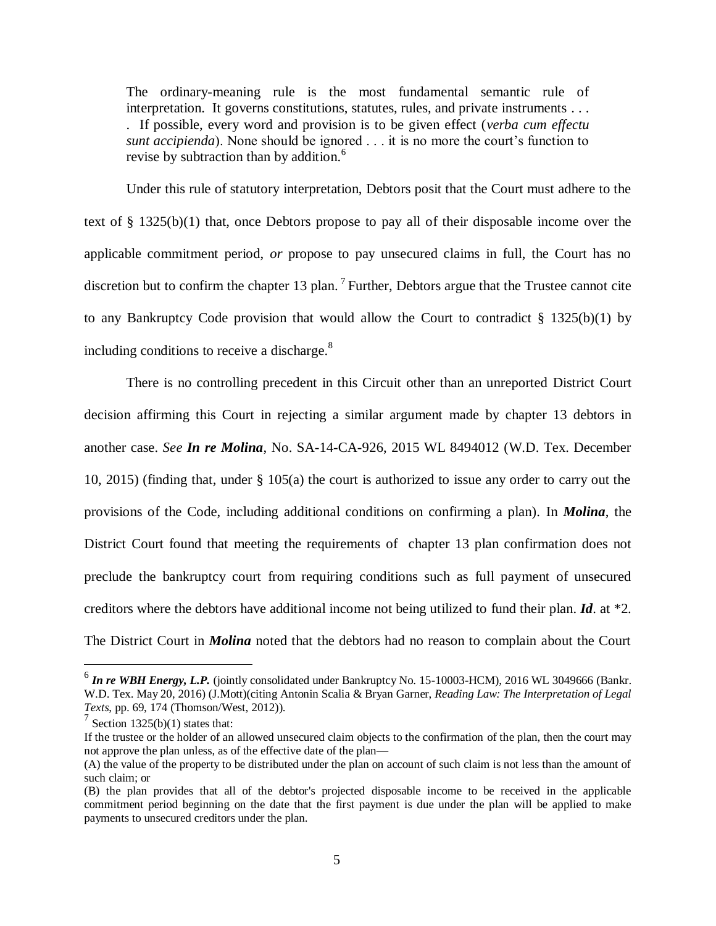The ordinary-meaning rule is the most fundamental semantic rule of interpretation. It governs constitutions, statutes, rules, and private instruments . . . . If possible, every word and provision is to be given effect (*verba cum effectu sunt accipienda*). None should be ignored . . . it is no more the court's function to revise by subtraction than by addition.<sup>6</sup>

Under this rule of statutory interpretation, Debtors posit that the Court must adhere to the text of § 1325(b)(1) that, once Debtors propose to pay all of their disposable income over the applicable commitment period, *or* propose to pay unsecured claims in full, the Court has no discretion but to confirm the chapter 13 plan.<sup>7</sup> Further, Debtors argue that the Trustee cannot cite to any Bankruptcy Code provision that would allow the Court to contradict  $\S$  1325(b)(1) by including conditions to receive a discharge.<sup>8</sup>

There is no controlling precedent in this Circuit other than an unreported District Court decision affirming this Court in rejecting a similar argument made by chapter 13 debtors in another case. *See In re Molina*, No. SA-14-CA-926, 2015 WL 8494012 (W.D. Tex. December 10, 2015) (finding that, under § 105(a) the court is authorized to issue any order to carry out the provisions of the Code, including additional conditions on confirming a plan). In *Molina*, the District Court found that meeting the requirements of chapter 13 plan confirmation does not preclude the bankruptcy court from requiring conditions such as full payment of unsecured creditors where the debtors have additional income not being utilized to fund their plan. *Id*. at \*2. The District Court in *Molina* noted that the debtors had no reason to complain about the Court

 6 *In re WBH Energy, L.P.* (jointly consolidated under Bankruptcy No. 15-10003-HCM), 2016 WL 3049666 (Bankr. W.D. Tex. May 20, 2016) (J.Mott)(citing Antonin Scalia & Bryan Garner, *Reading Law: The Interpretation of Legal Texts*, pp. 69, 174 (Thomson/West, 2012)).

 $\frac{7}{1}$  Section 1325(b)(1) states that:

If the trustee or the holder of an allowed unsecured claim objects to the confirmation of the plan, then the court may not approve the plan unless, as of the effective date of the plan—

<sup>(</sup>A) the value of the property to be distributed under the plan on account of such claim is not less than the amount of such claim; or

<sup>(</sup>B) the plan provides that all of the debtor's projected disposable income to be received in the applicable commitment period beginning on the date that the first payment is due under the plan will be applied to make payments to unsecured creditors under the plan.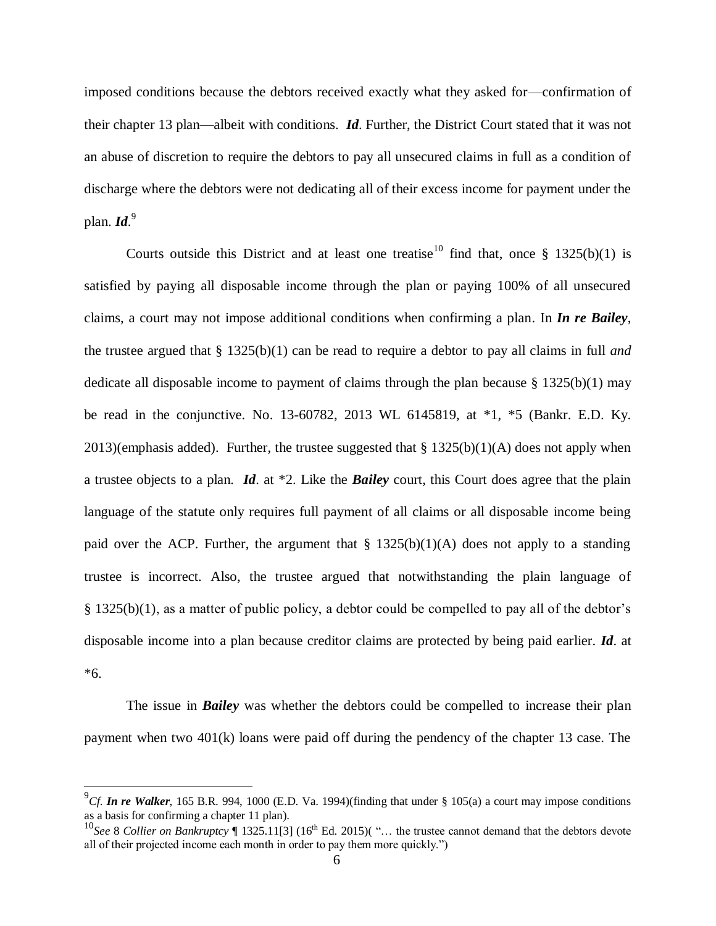imposed conditions because the debtors received exactly what they asked for—confirmation of their chapter 13 plan—albeit with conditions. *Id*. Further, the District Court stated that it was not an abuse of discretion to require the debtors to pay all unsecured claims in full as a condition of discharge where the debtors were not dedicating all of their excess income for payment under the plan. *Id*. 9

Courts outside this District and at least one treatise<sup>10</sup> find that, once § 1325(b)(1) is satisfied by paying all disposable income through the plan or paying 100% of all unsecured claims, a court may not impose additional conditions when confirming a plan. In *In re Bailey*, the trustee argued that § 1325(b)(1) can be read to require a debtor to pay all claims in full *and* dedicate all disposable income to payment of claims through the plan because  $\S$  1325(b)(1) may be read in the conjunctive. No. 13-60782, 2013 WL 6145819, at \*1, \*5 (Bankr. E.D. Ky. 2013)(emphasis added). Further, the trustee suggested that  $\S 1325(b)(1)(A)$  does not apply when a trustee objects to a plan. *Id*. at \*2. Like the *Bailey* court, this Court does agree that the plain language of the statute only requires full payment of all claims or all disposable income being paid over the ACP. Further, the argument that  $\S$  1325(b)(1)(A) does not apply to a standing trustee is incorrect. Also, the trustee argued that notwithstanding the plain language of § 1325(b)(1), as a matter of public policy, a debtor could be compelled to pay all of the debtor's disposable income into a plan because creditor claims are protected by being paid earlier. *Id*. at \*6.

The issue in *Bailey* was whether the debtors could be compelled to increase their plan payment when two 401(k) loans were paid off during the pendency of the chapter 13 case. The

<sup>&</sup>lt;sup>9</sup>Cf. **In re Walker**, 165 B.R. 994, 1000 (E.D. Va. 1994)(finding that under § 105(a) a court may impose conditions as a basis for confirming a chapter 11 plan).

<sup>&</sup>lt;sup>10</sup>See 8 *Collier on Bankruptcy* 1325.11[3] (16<sup>th</sup> Ed. 2015)( "... the trustee cannot demand that the debtors devote all of their projected income each month in order to pay them more quickly.")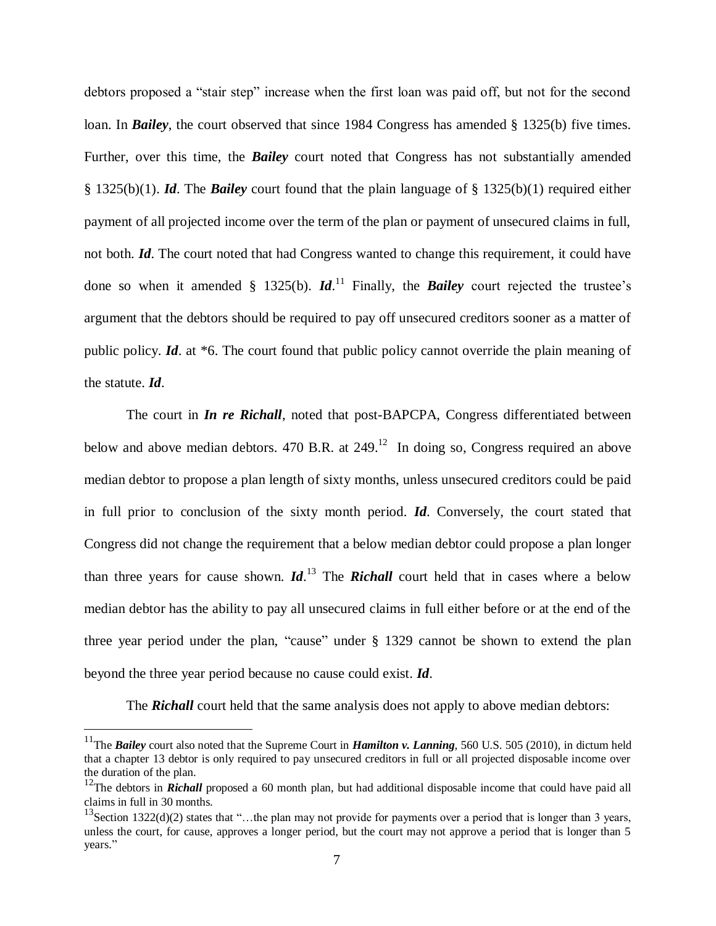debtors proposed a "stair step" increase when the first loan was paid off, but not for the second loan. In *Bailey*, the court observed that since 1984 Congress has amended § 1325(b) five times. Further, over this time, the *Bailey* court noted that Congress has not substantially amended § 1325(b)(1). *Id*. The *Bailey* court found that the plain language of § 1325(b)(1) required either payment of all projected income over the term of the plan or payment of unsecured claims in full, not both. *Id*. The court noted that had Congress wanted to change this requirement, it could have done so when it amended  $\S$  1325(b). *Id*.<sup>11</sup> Finally, the *Bailey* court rejected the trustee's argument that the debtors should be required to pay off unsecured creditors sooner as a matter of public policy. *Id*. at \*6. The court found that public policy cannot override the plain meaning of the statute. *Id*.

The court in *In re Richall*, noted that post-BAPCPA, Congress differentiated between below and above median debtors. 470 B.R. at  $249$ <sup>12</sup> In doing so, Congress required an above median debtor to propose a plan length of sixty months, unless unsecured creditors could be paid in full prior to conclusion of the sixty month period. *Id*. Conversely, the court stated that Congress did not change the requirement that a below median debtor could propose a plan longer than three years for cause shown. *Id*. <sup>13</sup> The *Richall* court held that in cases where a below median debtor has the ability to pay all unsecured claims in full either before or at the end of the three year period under the plan, "cause" under § 1329 cannot be shown to extend the plan beyond the three year period because no cause could exist. *Id*.

The **Richall** court held that the same analysis does not apply to above median debtors:

<sup>&</sup>lt;sup>11</sup>The *Bailey* court also noted that the Supreme Court in *Hamilton v. Lanning*, 560 U.S. 505 (2010), in dictum held that a chapter 13 debtor is only required to pay unsecured creditors in full or all projected disposable income over the duration of the plan.

<sup>&</sup>lt;sup>12</sup>The debtors in *Richall* proposed a 60 month plan, but had additional disposable income that could have paid all claims in full in 30 months.

<sup>&</sup>lt;sup>13</sup>Section 1322(d)(2) states that "...the plan may not provide for payments over a period that is longer than 3 years, unless the court, for cause, approves a longer period, but the court may not approve a period that is longer than 5 years."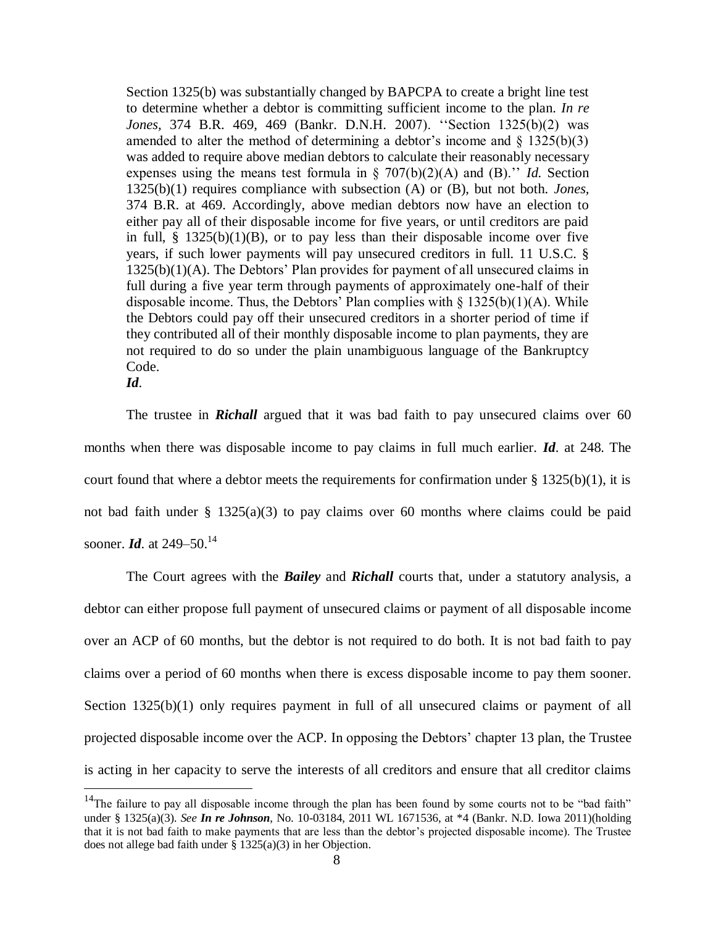Section 1325(b) was substantially changed by BAPCPA to create a bright line test to determine whether a debtor is committing sufficient income to the plan. *In re Jones,* 374 B.R. 469, 469 (Bankr. D.N.H. 2007). ''Section 1325(b)(2) was amended to alter the method of determining a debtor's income and  $\S$  1325(b)(3) was added to require above median debtors to calculate their reasonably necessary expenses using the means test formula in § 707(b)(2)(A) and (B).'' *Id.* Section 1325(b)(1) requires compliance with subsection (A) or (B), but not both. *Jones,*  374 B.R. at 469. Accordingly, above median debtors now have an election to either pay all of their disposable income for five years, or until creditors are paid in full,  $\S$  1325(b)(1)(B), or to pay less than their disposable income over five years, if such lower payments will pay unsecured creditors in full. 11 U.S.C. § 1325(b)(1)(A). The Debtors' Plan provides for payment of all unsecured claims in full during a five year term through payments of approximately one-half of their disposable income. Thus, the Debtors' Plan complies with  $\S$  1325(b)(1)(A). While the Debtors could pay off their unsecured creditors in a shorter period of time if they contributed all of their monthly disposable income to plan payments, they are not required to do so under the plain unambiguous language of the Bankruptcy Code.

*Id*.

 $\overline{a}$ 

The trustee in *Richall* argued that it was bad faith to pay unsecured claims over 60 months when there was disposable income to pay claims in full much earlier. *Id*. at 248. The court found that where a debtor meets the requirements for confirmation under  $\S 1325(b)(1)$ , it is not bad faith under § 1325(a)(3) to pay claims over 60 months where claims could be paid sooner. *Id.* at 249–50.<sup>14</sup>

The Court agrees with the *Bailey* and *Richall* courts that, under a statutory analysis, a debtor can either propose full payment of unsecured claims or payment of all disposable income over an ACP of 60 months, but the debtor is not required to do both. It is not bad faith to pay claims over a period of 60 months when there is excess disposable income to pay them sooner. Section 1325(b)(1) only requires payment in full of all unsecured claims or payment of all projected disposable income over the ACP. In opposing the Debtors' chapter 13 plan, the Trustee is acting in her capacity to serve the interests of all creditors and ensure that all creditor claims

<sup>&</sup>lt;sup>14</sup>The failure to pay all disposable income through the plan has been found by some courts not to be "bad faith" under § 1325(a)(3). *See In re Johnson*, No. 10-03184, 2011 WL 1671536, at \*4 (Bankr. N.D. Iowa 2011)(holding that it is not bad faith to make payments that are less than the debtor's projected disposable income). The Trustee does not allege bad faith under  $\S$  1325(a)(3) in her Objection.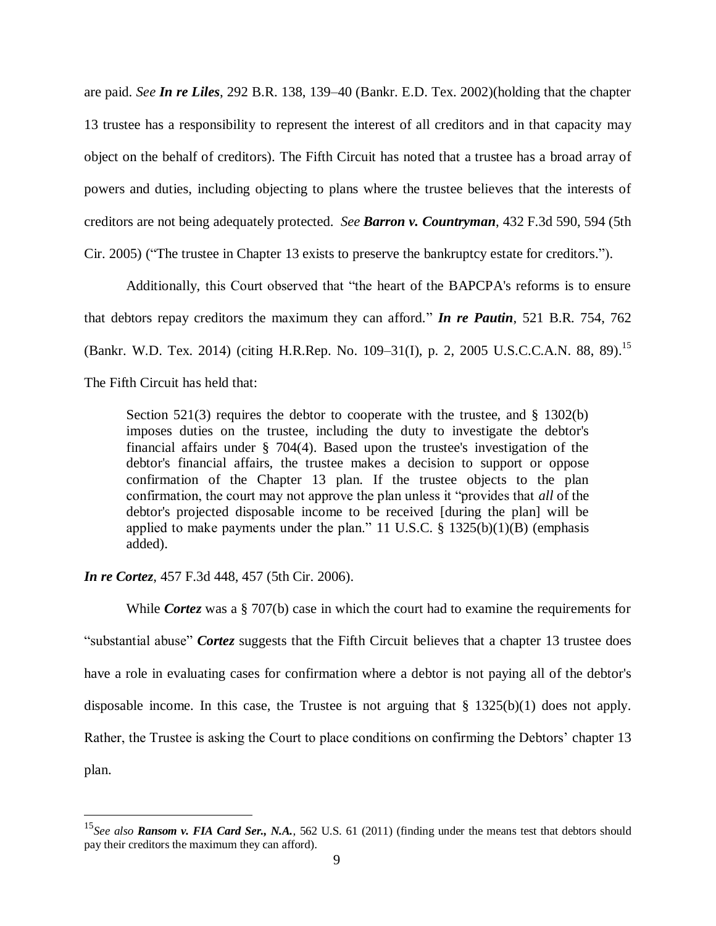are paid. *See In re Liles*, 292 B.R. 138, 139–40 (Bankr. E.D. Tex. 2002)(holding that the chapter 13 trustee has a responsibility to represent the interest of all creditors and in that capacity may object on the behalf of creditors). The Fifth Circuit has noted that a trustee has a broad array of powers and duties, including objecting to plans where the trustee believes that the interests of creditors are not being adequately protected. *See Barron v. Countryman*, 432 F.3d 590, 594 (5th Cir. 2005) ("The trustee in Chapter 13 exists to preserve the bankruptcy estate for creditors.").

Additionally, this Court observed that "the heart of the BAPCPA's reforms is to ensure that debtors repay creditors the maximum they can afford." *In re Pautin*, 521 B.R. 754, 762 (Bankr. W.D. Tex. 2014) (citing [H.R.Rep. No. 109–31\(I\), p. 2,](https://1.next.westlaw.com/Link/Document/FullText?findType=Y&serNum=0303905884&pubNum=0100014&originatingDoc=Ic62bc2f0765d11e4b4bafa136b480ad2&refType=TV&originationContext=document&transitionType=DocumentItem&contextData=%28sc.UserEnteredCitation%29) 2005 U.S.C.C.A.N. 88, 89).<sup>15</sup> The Fifth Circuit has held that:

Section  $521(3)$  requires the debtor to cooperate with the trustee, and § 1302(b) imposes duties on the trustee, including the duty to investigate the debtor's financial affairs under § 704(4). Based upon the trustee's investigation of the debtor's financial affairs, the trustee makes a decision to support or oppose confirmation of the Chapter 13 plan. If the trustee objects to the plan confirmation, the court may not approve the plan unless it "provides that *all* of the debtor's projected disposable income to be received [during the plan] will be applied to make payments under the plan." 11 U.S.C.  $\S$  1325(b)(1)(B) (emphasis added).

*In re Cortez*, 457 F.3d 448, 457 (5th Cir. 2006).

 $\overline{a}$ 

While *Cortez* was a § 707(b) case in which the court had to examine the requirements for "substantial abuse" *Cortez* suggests that the Fifth Circuit believes that a chapter 13 trustee does have a role in evaluating cases for confirmation where a debtor is not paying all of the debtor's disposable income. In this case, the Trustee is not arguing that § 1325(b)(1) does not apply. Rather, the Trustee is asking the Court to place conditions on confirming the Debtors' chapter 13 plan.

<sup>15</sup>*See also Ransom v. FIA Card Ser., N.A.*, 562 U.S. 61 (2011) (finding under the means test that debtors should pay their creditors the maximum they can afford).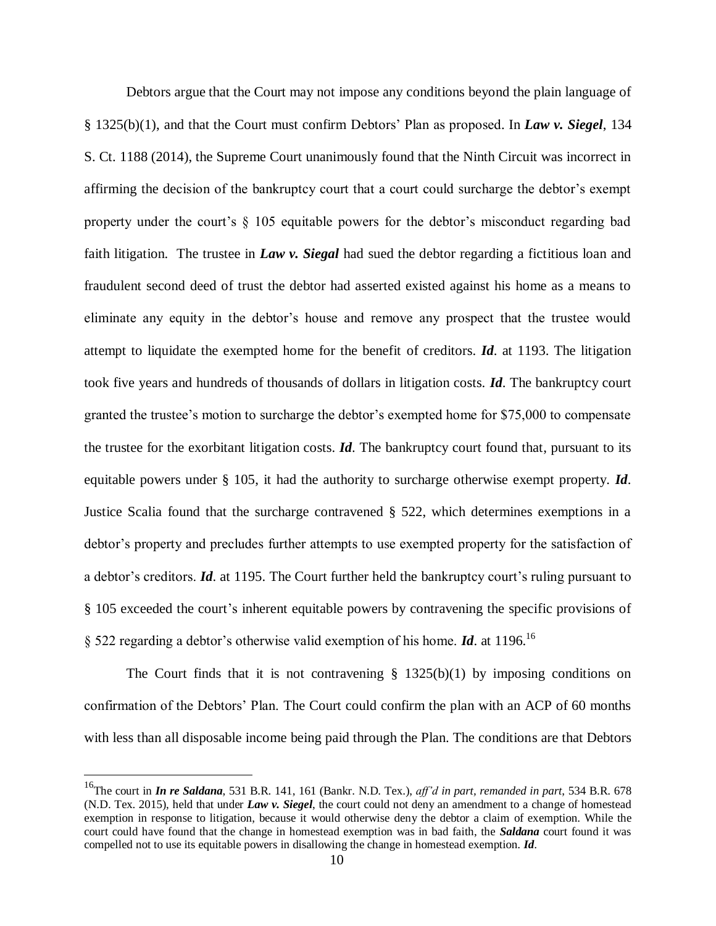Debtors argue that the Court may not impose any conditions beyond the plain language of § 1325(b)(1), and that the Court must confirm Debtors' Plan as proposed. In *Law v. Siegel*, 134 S. Ct. 1188 (2014), the Supreme Court unanimously found that the Ninth Circuit was incorrect in affirming the decision of the bankruptcy court that a court could surcharge the debtor's exempt property under the court's  $\S$  105 equitable powers for the debtor's misconduct regarding bad faith litigation. The trustee in *Law v. Siegal* had sued the debtor regarding a fictitious loan and fraudulent second deed of trust the debtor had asserted existed against his home as a means to eliminate any equity in the debtor's house and remove any prospect that the trustee would attempt to liquidate the exempted home for the benefit of creditors. *Id*. at 1193. The litigation took five years and hundreds of thousands of dollars in litigation costs. *Id*. The bankruptcy court granted the trustee's motion to surcharge the debtor's exempted home for \$75,000 to compensate the trustee for the exorbitant litigation costs. *Id*. The bankruptcy court found that, pursuant to its equitable powers under § 105, it had the authority to surcharge otherwise exempt property. *Id*. Justice Scalia found that the surcharge contravened § 522, which determines exemptions in a debtor's property and precludes further attempts to use exempted property for the satisfaction of a debtor's creditors. *Id*. at 1195. The Court further held the bankruptcy court's ruling pursuant to § 105 exceeded the court's inherent equitable powers by contravening the specific provisions of § 522 regarding a debtor's otherwise valid exemption of his home. *Id*. at 1196.<sup>16</sup>

The Court finds that it is not contravening  $\S$  1325(b)(1) by imposing conditions on confirmation of the Debtors' Plan. The Court could confirm the plan with an ACP of 60 months with less than all disposable income being paid through the Plan. The conditions are that Debtors

<sup>16</sup>The court in *In re Saldana*, 531 B.R. 141, 161 (Bankr. N.D. Tex.), *aff'd in part, remanded in part*, 534 B.R. 678 (N.D. Tex. 2015), held that under *Law v. Siegel*, the court could not deny an amendment to a change of homestead exemption in response to litigation, because it would otherwise deny the debtor a claim of exemption. While the court could have found that the change in homestead exemption was in bad faith, the *Saldana* court found it was compelled not to use its equitable powers in disallowing the change in homestead exemption. *Id*.